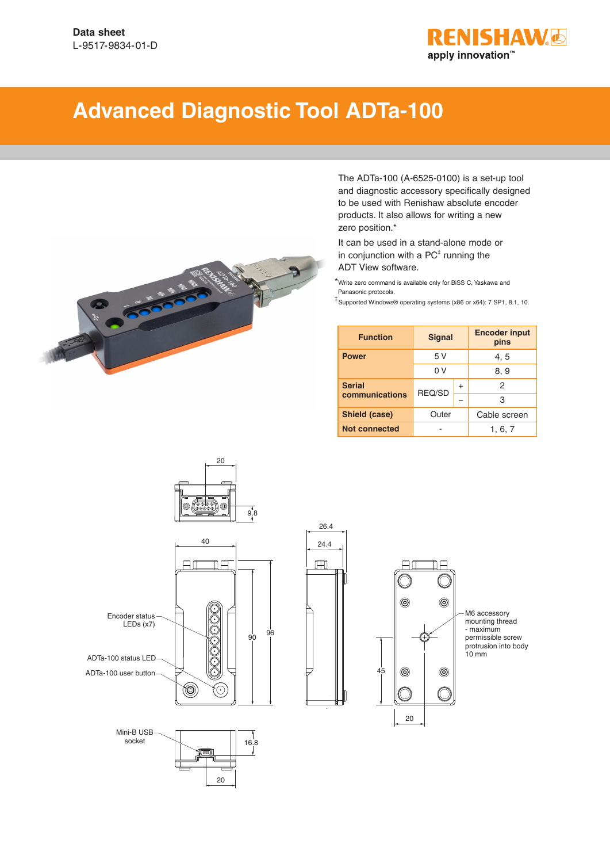

## **Advanced Diagnostic Tool ADTa-100**



The ADTa-100 (A-6525-0100) is a set-up tool and diagnostic accessory specifically designed to be used with Renishaw absolute encoder products. It also allows for writing a new zero position.\*

It can be used in a stand-alone mode or in conjunction with a  $PC^{\ddagger}$  running the ADT View software.

\*Write zero command is available only for BiSS C, Yaskawa and Panasonic protocols.

‡ Supported Windows® operating systems (x86 or x64): 7 SP1, 8.1, 10.

| <b>Function</b>      | <b>Signal</b> |           | <b>Encoder input</b><br>pins |
|----------------------|---------------|-----------|------------------------------|
| <b>Power</b>         | 5 V           |           | 4.5                          |
|                      | 0 V           |           | 8, 9                         |
| <b>Serial</b>        | REQ/SD        | $\ddot{}$ | 2                            |
| communications       |               |           | 3                            |
| Shield (case)        | Outer         |           | Cable screen                 |
| <b>Not connected</b> |               |           | 1, 6, 7                      |



 $20$ 







20

 $\Box$ 

 $^{\circledR}$ 

 $^{\circledR}$ 

ħΞ

 $^{\circledR}$ 

 $^{\circledR}$ 

M6 accessory mounting thread - maximum permissible screw protrusion into body 10 mm